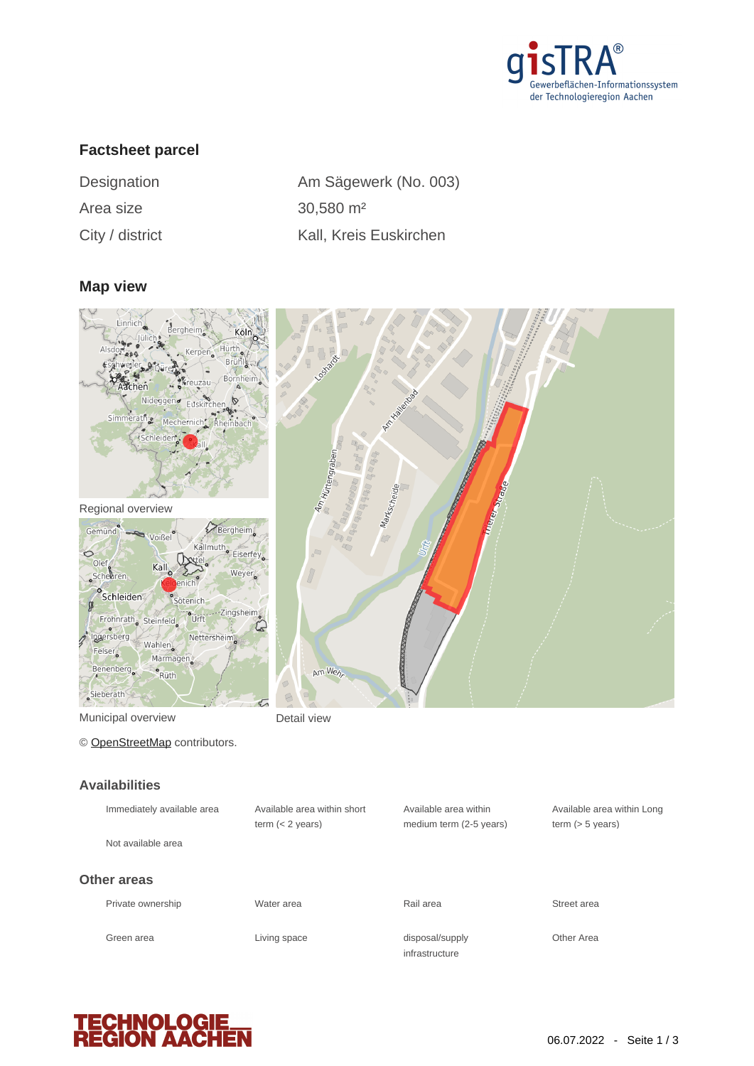

# **Factsheet parcel**

| Designation     | Am Sägev              |
|-----------------|-----------------------|
| Area size       | 30,580 m <sup>2</sup> |
| City / district | Kall, Kreis           |

| Designation     | Am Sägewerk (No. 003)  |
|-----------------|------------------------|
| Area size       | $30,580 \text{ m}^2$   |
| City / district | Kall, Kreis Euskirchen |

## **Map view**





Municipal overview **Detail view** 

© [OpenStreetMap](http://www.openstreetmap.org/copyright) contributors.

#### **Availabilities**

| Available area within sh |
|--------------------------|
|                          |
|                          |
|                          |
|                          |
|                          |
|                          |



| Immediately available area | Available area within short | Available area within             | Available area within Long |
|----------------------------|-----------------------------|-----------------------------------|----------------------------|
|                            | term $(< 2$ years)          | medium term (2-5 years)           | term $(> 5$ years)         |
| Not available area         |                             |                                   |                            |
| her areas                  |                             |                                   |                            |
| Private ownership          | Water area                  | Rail area                         | Street area                |
| Green area                 | Living space                | disposal/supply<br>infrastructure | Other Area                 |

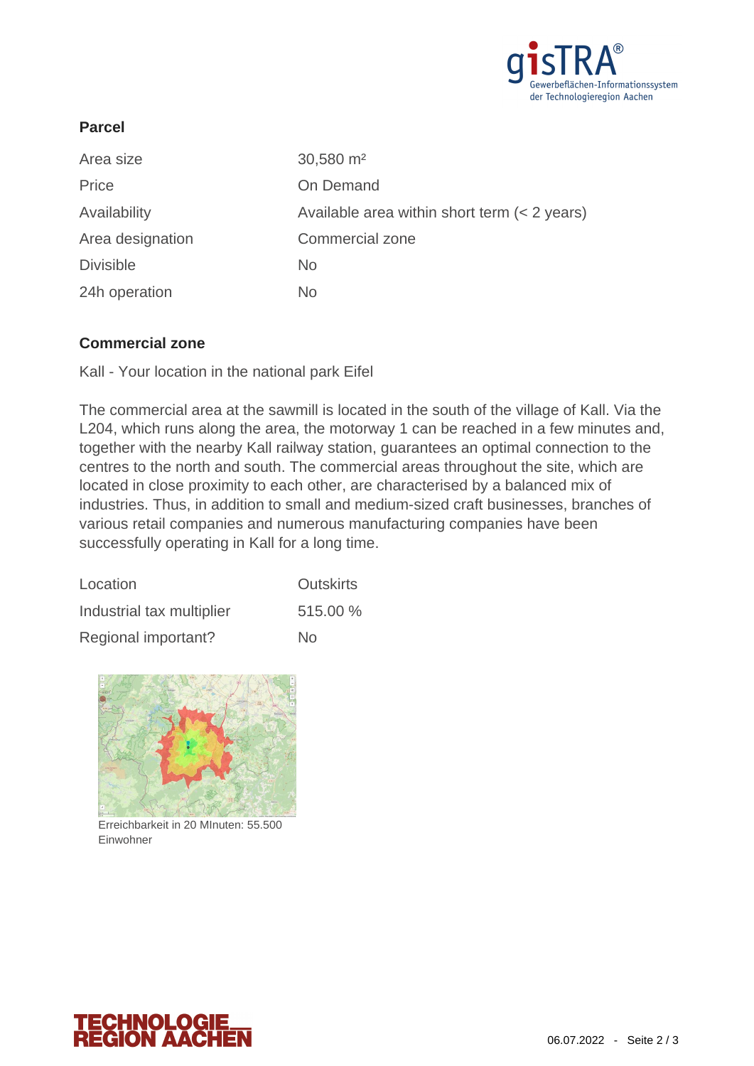

## **Parcel**

| Area size        | 30,580 m <sup>2</sup>                        |
|------------------|----------------------------------------------|
| Price            | On Demand                                    |
| Availability     | Available area within short term (< 2 years) |
| Area designation | <b>Commercial zone</b>                       |
| <b>Divisible</b> | <b>No</b>                                    |
| 24h operation    | No.                                          |

## **Commercial zone**

Kall - Your location in the national park Eifel

The commercial area at the sawmill is located in the south of the village of Kall. Via the L204, which runs along the area, the motorway 1 can be reached in a few minutes and, together with the nearby Kall railway station, guarantees an optimal connection to the centres to the north and south. The commercial areas throughout the site, which are located in close proximity to each other, are characterised by a balanced mix of industries. Thus, in addition to small and medium-sized craft businesses, branches of various retail companies and numerous manufacturing companies have been successfully operating in Kall for a long time.

| Location                  | <b>Outskirts</b> |  |
|---------------------------|------------------|--|
| Industrial tax multiplier | 515.00 %         |  |
| Regional important?       | No               |  |



Erreichbarkeit in 20 MInuten: 55.500 Einwohner